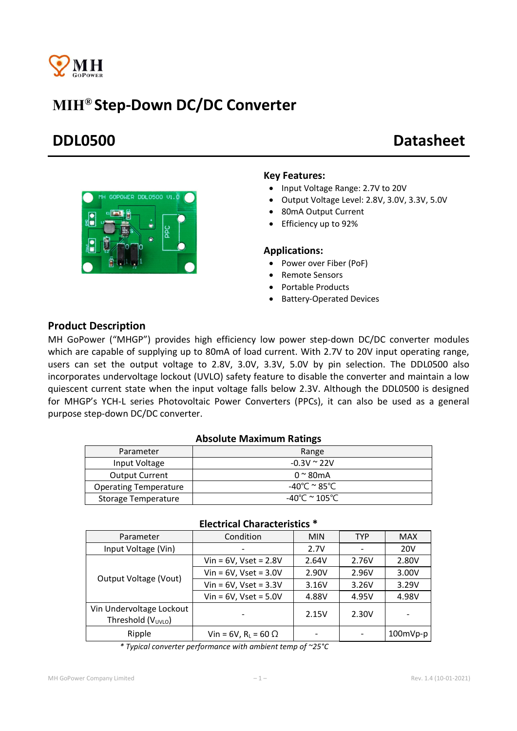

# MIH® Step-Down DC/DC Converter

# DDL0500 Datasheet

#### Key Features:

- Input Voltage Range: 2.7V to 20V
- Output Voltage Level: 2.8V, 3.0V, 3.3V, 5.0V
- 80mA Output Current
- Efficiency up to 92%

#### Applications:

- Power over Fiber (PoF)
- Remote Sensors
- Portable Products
- Battery-Operated Devices

### Product Description

MH GoPower ("MHGP") provides high efficiency low power step-down DC/DC converter modules which are capable of supplying up to 80mA of load current. With 2.7V to 20V input operating range, users can set the output voltage to 2.8V, 3.0V, 3.3V, 5.0V by pin selection. The DDL0500 also incorporates undervoltage lockout (UVLO) safety feature to disable the converter and maintain a low quiescent current state when the input voltage falls below 2.3V. Although the DDL0500 is designed for MHGP's YCH-L series Photovoltaic Power Converters (PPCs), it can also be used as a general purpose step-down DC/DC converter.

#### Absolute Maximum Ratings

| Parameter                    | Range                 |
|------------------------------|-----------------------|
| Input Voltage                | $-0.3V \approx 22V$   |
| <b>Output Current</b>        | $0 \approx 80$ mA     |
| <b>Operating Temperature</b> | -40°C $^{\sim}$ 85°C. |
| Storage Temperature          | -40°C $\simeq$ 105°C. |

| Parameter                                                  | Condition                     | <b>MIN</b> | <b>TYP</b> | <b>MAX</b> |  |  |
|------------------------------------------------------------|-------------------------------|------------|------------|------------|--|--|
| Input Voltage (Vin)                                        |                               | 2.7V       |            | <b>20V</b> |  |  |
| Output Voltage (Vout)                                      | Vin = $6V$ , Vset = $2.8V$    | 2.64V      | 2.76V      | 2.80V      |  |  |
|                                                            | $V$ in = 6V, Vset = 3.0V      | 2.90V      | 2.96V      | 3.00V      |  |  |
|                                                            | Vin = $6V$ , Vset = $3.3V$    | 3.16V      | 3.26V      | 3.29V      |  |  |
|                                                            | $Vin = 6V$ , Vset = $5.0V$    | 4.88V      | 4.95V      | 4.98V      |  |  |
| Vin Undervoltage Lockout<br>Threshold (V <sub>UVLO</sub> ) |                               | 2.15V      | 2.30V      |            |  |  |
| Ripple                                                     | Vin = 6V, $R_L$ = 60 $\Omega$ |            |            | $100mVp-p$ |  |  |

#### Electrical Characteristics \*

*\* Typical converter performance with ambient temp of ~25°C*